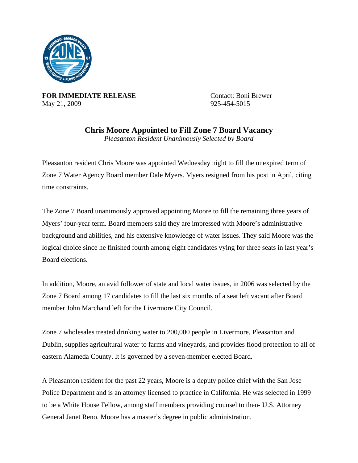

**FOR IMMEDIATE RELEASE** Contact: Boni Brewer May 21, 2009 925-454-5015

**Chris Moore Appointed to Fill Zone 7 Board Vacancy**  *Pleasanton Resident Unanimously Selected by Board* 

Pleasanton resident Chris Moore was appointed Wednesday night to fill the unexpired term of Zone 7 Water Agency Board member Dale Myers. Myers resigned from his post in April, citing time constraints.

The Zone 7 Board unanimously approved appointing Moore to fill the remaining three years of Myers' four-year term. Board members said they are impressed with Moore's administrative background and abilities, and his extensive knowledge of water issues. They said Moore was the logical choice since he finished fourth among eight candidates vying for three seats in last year's Board elections.

In addition, Moore, an avid follower of state and local water issues, in 2006 was selected by the Zone 7 Board among 17 candidates to fill the last six months of a seat left vacant after Board member John Marchand left for the Livermore City Council.

Zone 7 wholesales treated drinking water to 200,000 people in Livermore, Pleasanton and Dublin, supplies agricultural water to farms and vineyards, and provides flood protection to all of eastern Alameda County. It is governed by a seven-member elected Board.

A Pleasanton resident for the past 22 years, Moore is a deputy police chief with the San Jose Police Department and is an attorney licensed to practice in California. He was selected in 1999 to be a White House Fellow, among staff members providing counsel to then- U.S. Attorney General Janet Reno. Moore has a master's degree in public administration.